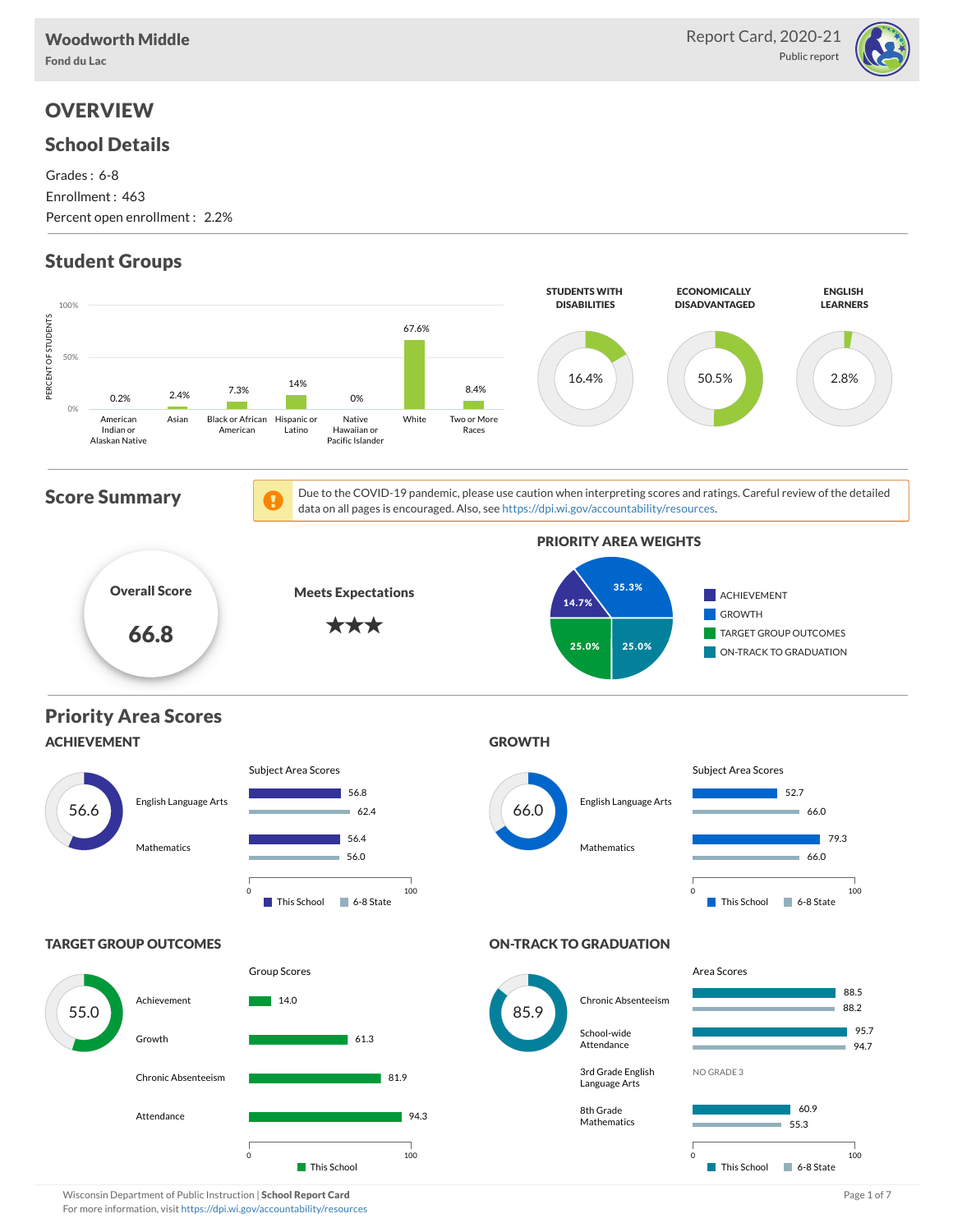

# **OVERVIEW**

#### School Details

Grades : 6-8 Enrollment : 463 Percent open enrollment : 2.2%

# Student Groups



Wisconsin Department of Public Instruction | School Report Card Page 1 of 7 and 2008 and 2008 and Page 1 of 7 For more information, visit <https://dpi.wi.gov/accountability/resources>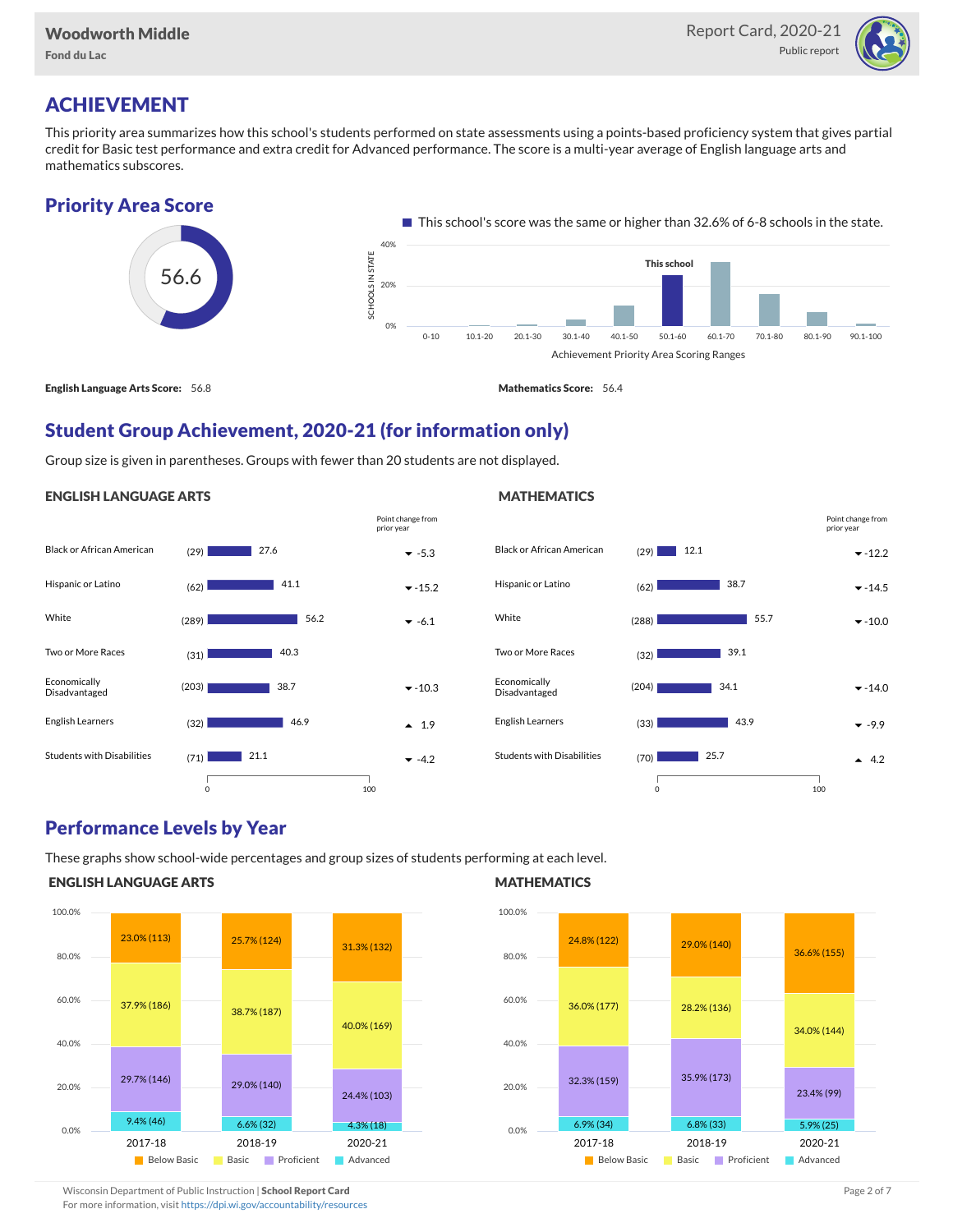Fond du Lac



# ACHIEVEMENT

This priority area summarizes how this school's students performed on state assessments using a points-based proficiency system that gives partial credit for Basic test performance and extra credit for Advanced performance. The score is a multi-year average of English language arts and mathematics subscores.

### Priority Area Score



English Language Arts Score: 56.8 Mathematics Score: 56.4

**MATHEMATICS** 

# Student Group Achievement, 2020-21 (for information only)

Group size is given in parentheses. Groups with fewer than 20 students are not displayed.

#### ENGLISH LANGUAGE ARTS



#### Black or African American  $(29)$  2.1 2.1  $\sqrt{2}$  -12.2 Hispanic or Latino (62) -14.5 White (288) -10.0 Two or More Races (32) Economically Disadvantaged  $(204)$  34.1  $\bullet$  -14.0 English Learners  $(33)$   $43.9$   $\bullet$  -9.9 Students with Disabilities  $(70)$   $(25.7)$  $(29)$  12.1 38.7 55.7 39.1  $34.1$  $143.9$  $125.7$ 0 100 Point change from prior year

### Performance Levels by Year

These graphs show school-wide percentages and group sizes of students performing at each level.

#### ENGLISH LANGUAGE ARTS



#### **MATHEMATICS**



Wisconsin Department of Public Instruction | School Report Card Page 2 of 7 and 2008 and 2009 and 2 of 7 and 2 of 7 and 2 of 7 and 2 of 7 and 2 of 7 and 2 of 7 and 2 of 7 and 2 of 7 and 2 of 7 and 2 of 7 and 2 of 7 and 2 o

For more information, visit <https://dpi.wi.gov/accountability/resources>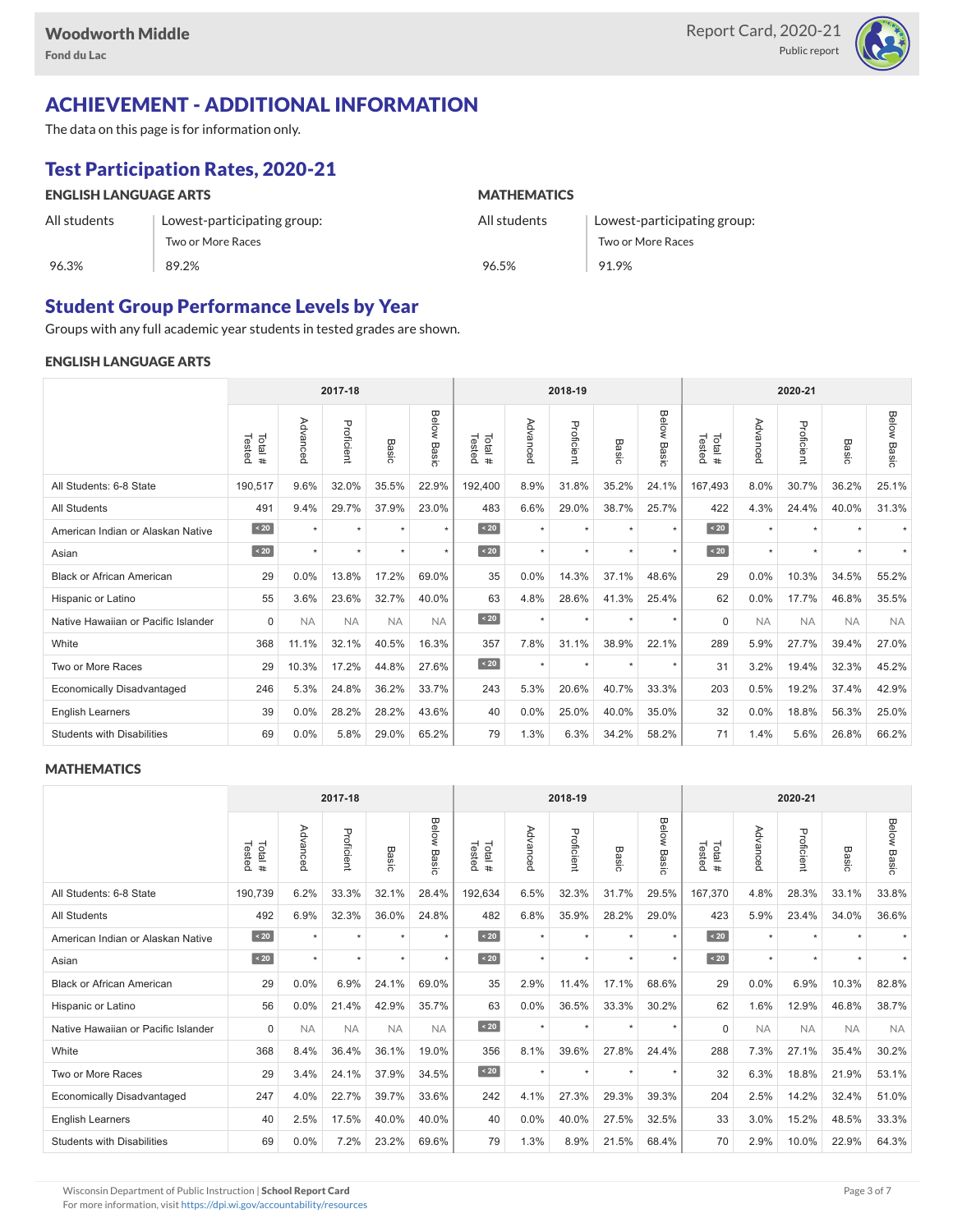

# ACHIEVEMENT - ADDITIONAL INFORMATION

The data on this page is for information only.

# Test Participation Rates, 2020-21

| <b>ENGLISH LANGUAGE ARTS</b> |                             | <b>MATHEMATICS</b> |                             |  |  |  |  |  |
|------------------------------|-----------------------------|--------------------|-----------------------------|--|--|--|--|--|
| All students                 | Lowest-participating group: | All students       | Lowest-participating group: |  |  |  |  |  |
|                              | Two or More Races           |                    | Two or More Races           |  |  |  |  |  |
| 96.3%                        | 89.2%                       | 96.5%              | 91.9%                       |  |  |  |  |  |

### Student Group Performance Levels by Year

Groups with any full academic year students in tested grades are shown.

#### ENGLISH LANGUAGE ARTS

|                                     |                   |           |            | 2018-19   |                |                  | 2020-21  |            |           |                |                   |           |            |           |                    |
|-------------------------------------|-------------------|-----------|------------|-----------|----------------|------------------|----------|------------|-----------|----------------|-------------------|-----------|------------|-----------|--------------------|
|                                     | Tested<br>Total # | Advanced  | Proficient | Basic     | Below<br>Basic | Tested<br>Total# | Advanced | Proficient | Basic     | Below<br>Basic | Tested<br>Total # | Advancec  | Proficient | Basic     | <b>Below Basic</b> |
| All Students: 6-8 State             | 190,517           | 9.6%      | 32.0%      | 35.5%     | 22.9%          | 192.400          | 8.9%     | 31.8%      | 35.2%     | 24.1%          | 167,493           | 8.0%      | 30.7%      | 36.2%     | 25.1%              |
| <b>All Students</b>                 | 491               | 9.4%      | 29.7%      | 37.9%     | 23.0%          | 483              | 6.6%     | 29.0%      | 38.7%     | 25.7%          | 422               | 4.3%      | 24.4%      | 40.0%     | 31.3%              |
| American Indian or Alaskan Native   | $\overline{20}$   | $\star$   | $\star$    | ٠         | $\star$        | $\sim 20$        | $\star$  | $\star$    | $\star$   | $\star$        | $\sim 20$         | $\star$   | $\star$    |           |                    |
| Asian                               | $\angle 20$       | $\ddot{}$ | $\star$    | ٠         | $\star$        | $\angle 20$      | $\star$  | $\star$    | $\star$   | $\star$        | $\angle 20$       | $\star$   | $\star$    |           |                    |
| <b>Black or African American</b>    | 29                | 0.0%      | 13.8%      | 17.2%     | 69.0%          | 35               | 0.0%     | 14.3%      | 37.1%     | 48.6%          | 29                | 0.0%      | 10.3%      | 34.5%     | 55.2%              |
| Hispanic or Latino                  | 55                | 3.6%      | 23.6%      | 32.7%     | 40.0%          | 63               | 4.8%     | 28.6%      | 41.3%     | 25.4%          | 62                | 0.0%      | 17.7%      | 46.8%     | 35.5%              |
| Native Hawaiian or Pacific Islander | $\Omega$          | <b>NA</b> | <b>NA</b>  | <b>NA</b> | <b>NA</b>      | $\angle 20$      | $\star$  | $\star$    | $\star$   | $\star$        | $\Omega$          | <b>NA</b> | <b>NA</b>  | <b>NA</b> | <b>NA</b>          |
| White                               | 368               | 11.1%     | 32.1%      | 40.5%     | 16.3%          | 357              | 7.8%     | 31.1%      | 38.9%     | 22.1%          | 289               | 5.9%      | 27.7%      | 39.4%     | 27.0%              |
| Two or More Races                   | 29                | 10.3%     | 17.2%      | 44.8%     | 27.6%          | $\sim 20$        | $\star$  | $\star$    | $\ddot{}$ | $\star$        | 31                | 3.2%      | 19.4%      | 32.3%     | 45.2%              |
| <b>Economically Disadvantaged</b>   | 246               | 5.3%      | 24.8%      | 36.2%     | 33.7%          | 243              | 5.3%     | 20.6%      | 40.7%     | 33.3%          | 203               | 0.5%      | 19.2%      | 37.4%     | 42.9%              |
| <b>English Learners</b>             | 39                | 0.0%      | 28.2%      | 28.2%     | 43.6%          | 40               | 0.0%     | 25.0%      | 40.0%     | 35.0%          | 32                | 0.0%      | 18.8%      | 56.3%     | 25.0%              |
| <b>Students with Disabilities</b>   | 69                | 0.0%      | 5.8%       | 29.0%     | 65.2%          | 79               | 1.3%     | 6.3%       | 34.2%     | 58.2%          | 71                | 1.4%      | 5.6%       | 26.8%     | 66.2%              |

#### **MATHEMATICS**

|                                     |                   |           |            | 2018-19   |                |                   | 2020-21  |            |         |                |                  |           |            |                      |                |
|-------------------------------------|-------------------|-----------|------------|-----------|----------------|-------------------|----------|------------|---------|----------------|------------------|-----------|------------|----------------------|----------------|
|                                     | Tested<br>Total # | Advanced  | Proficient | Basic     | Below<br>Basic | Total #<br>Tested | Advanced | Proficient | Basic   | Below<br>Basic | Tested<br>Total# | Advanced  | Proficient | Basic                | Below<br>Basic |
| All Students: 6-8 State             | 190,739           | 6.2%      | 33.3%      | 32.1%     | 28.4%          | 192,634           | 6.5%     | 32.3%      | 31.7%   | 29.5%          | 167,370          | 4.8%      | 28.3%      | 33.1%                | 33.8%          |
| <b>All Students</b>                 | 492               | 6.9%      | 32.3%      | 36.0%     | 24.8%          | 482               | 6.8%     | 35.9%      | 28.2%   | 29.0%          | 423              | 5.9%      | 23.4%      | 34.0%                | 36.6%          |
| American Indian or Alaskan Native   | $\angle 20$       | $\star$   | $\star$    |           | $\star$        | $\sim 20$         | $\star$  | $\star$    | $\star$ | $\star$        | $\sim 20$        | $\star$   | $\star$    |                      |                |
| Asian                               | $\angle 20$       | $\star$   | $\star$    | $\star$   | $\star$        | $\sim 20$         | $\star$  | $\star$    | $\star$ | $\star$        | $\sqrt{20}$      | $\star$   | $\star$    | $\ddot{\phantom{1}}$ |                |
| <b>Black or African American</b>    | 29                | 0.0%      | 6.9%       | 24.1%     | 69.0%          | 35                | 2.9%     | 11.4%      | 17.1%   | 68.6%          | 29               | 0.0%      | 6.9%       | 10.3%                | 82.8%          |
| Hispanic or Latino                  | 56                | 0.0%      | 21.4%      | 42.9%     | 35.7%          | 63                | 0.0%     | 36.5%      | 33.3%   | 30.2%          | 62               | 1.6%      | 12.9%      | 46.8%                | 38.7%          |
| Native Hawaiian or Pacific Islander | $\Omega$          | <b>NA</b> | <b>NA</b>  | <b>NA</b> | <b>NA</b>      | $\angle 20$       | $\star$  | $\star$    | $\star$ | $\star$        | $\Omega$         | <b>NA</b> | <b>NA</b>  | <b>NA</b>            | <b>NA</b>      |
| White                               | 368               | 8.4%      | 36.4%      | 36.1%     | 19.0%          | 356               | 8.1%     | 39.6%      | 27.8%   | 24.4%          | 288              | 7.3%      | 27.1%      | 35.4%                | 30.2%          |
| Two or More Races                   | 29                | 3.4%      | 24.1%      | 37.9%     | 34.5%          | $\sim 20$         | $\star$  | $\star$    | $\star$ | $\star$        | 32               | 6.3%      | 18.8%      | 21.9%                | 53.1%          |
| <b>Economically Disadvantaged</b>   | 247               | 4.0%      | 22.7%      | 39.7%     | 33.6%          | 242               | 4.1%     | 27.3%      | 29.3%   | 39.3%          | 204              | 2.5%      | 14.2%      | 32.4%                | 51.0%          |
| English Learners                    | 40                | 2.5%      | 17.5%      | 40.0%     | 40.0%          | 40                | 0.0%     | 40.0%      | 27.5%   | 32.5%          | 33               | 3.0%      | 15.2%      | 48.5%                | 33.3%          |
| <b>Students with Disabilities</b>   | 69                | 0.0%      | 7.2%       | 23.2%     | 69.6%          | 79                | 1.3%     | 8.9%       | 21.5%   | 68.4%          | 70               | 2.9%      | 10.0%      | 22.9%                | 64.3%          |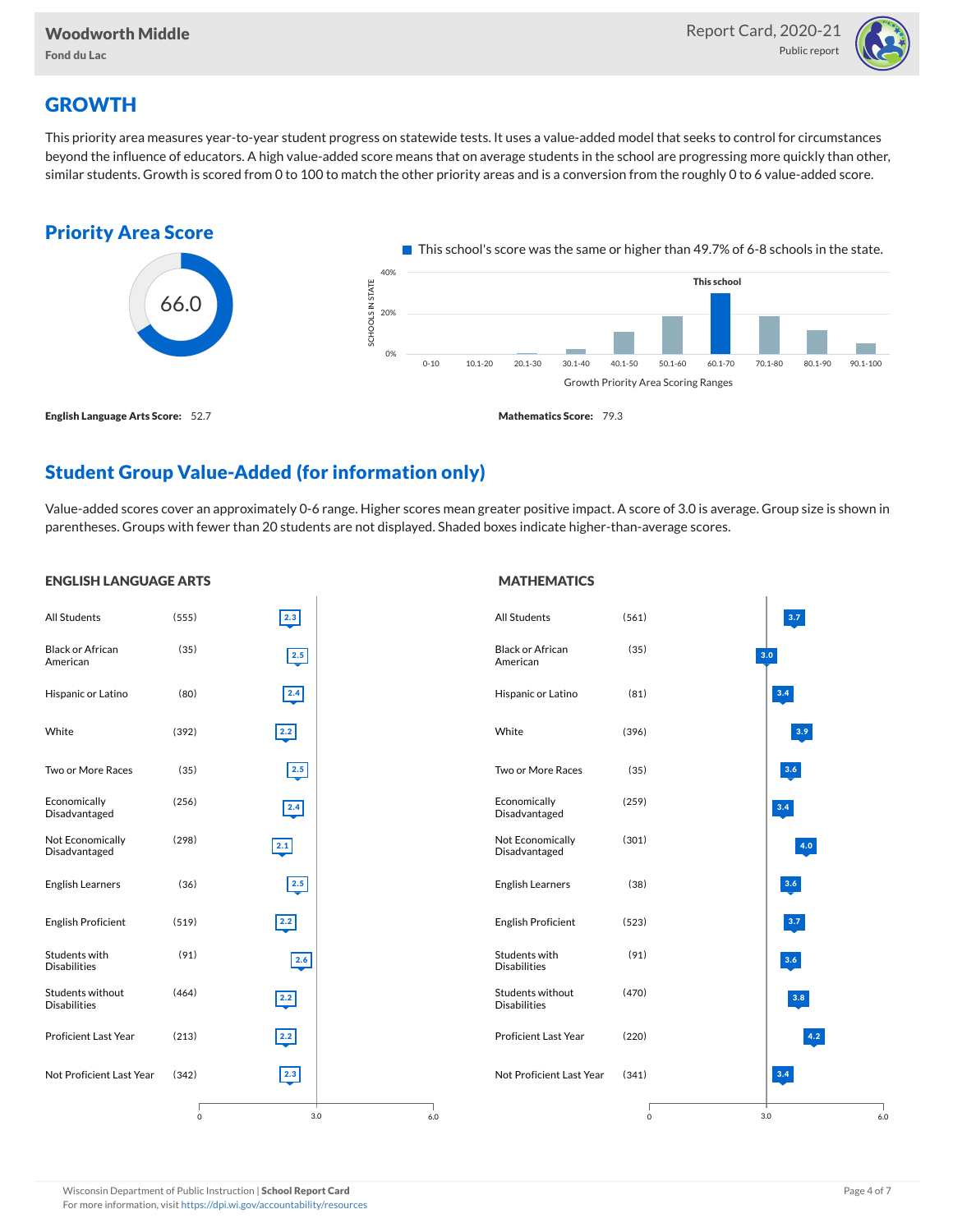ENGLISH LANGUAGE ARTS



# **GROWTH**

This priority area measures year-to-year student progress on statewide tests. It uses a value-added model that seeks to control for circumstances beyond the influence of educators. A high value-added score means that on average students in the school are progressing more quickly than other, similar students. Growth is scored from 0 to 100 to match the other priority areas and is a conversion from the roughly 0 to 6 value-added score.



# Student Group Value-Added (for information only)

Value-added scores cover an approximately 0-6 range. Higher scores mean greater positive impact. A score of 3.0 is average. Group size is shown in parentheses. Groups with fewer than 20 students are not displayed. Shaded boxes indicate higher-than-average scores.

**MATHEMATICS** 

| <b>ENGLISH LANGUAGE AKIS</b>            |         |               |     | <b>MAINEMAILS</b>                       |         |     |               |     |
|-----------------------------------------|---------|---------------|-----|-----------------------------------------|---------|-----|---------------|-----|
| <b>All Students</b>                     | (555)   | 2.3           |     | All Students                            | (561)   |     | $ 3.7\rangle$ |     |
| <b>Black or African</b><br>American     | (35)    | 2.5           |     | <b>Black or African</b><br>American     | (35)    | 3.0 |               |     |
| Hispanic or Latino                      | (80)    | 2.4           |     | Hispanic or Latino                      | (81)    |     | 3.4           |     |
| White                                   | (392)   | 2.2           |     | White                                   | (396)   |     | 3.9           |     |
| Two or More Races                       | (35)    | 2.5           |     | Two or More Races                       | (35)    |     | 3.6           |     |
| Economically<br>Disadvantaged           | (256)   | 2.4           |     | Economically<br>Disadvantaged           | (259)   |     | $3.4$         |     |
| Not Economically<br>Disadvantaged       | (298)   | 2.1           |     | Not Economically<br>Disadvantaged       | (301)   |     | 4.0           |     |
| <b>English Learners</b>                 | (36)    | 2.5           |     | <b>English Learners</b>                 | (38)    |     | 3.6           |     |
| <b>English Proficient</b>               | (519)   | $2.2$         |     | <b>English Proficient</b>               | (523)   |     | 3.7           |     |
| Students with<br><b>Disabilities</b>    | (91)    | 2.6           |     | Students with<br><b>Disabilities</b>    | (91)    |     | $\bf 3.6$     |     |
| Students without<br><b>Disabilities</b> | (464)   | 2.2           |     | Students without<br><b>Disabilities</b> | (470)   |     | $\bf 3.8$     |     |
| <b>Proficient Last Year</b>             | (213)   | 2.2           |     | Proficient Last Year                    | (220)   |     | 4.2           |     |
| Not Proficient Last Year                | (342)   | $\boxed{2.3}$ |     | Not Proficient Last Year                | (341)   |     | $\bf 3.4$     |     |
|                                         | $\circ$ | 3.0           | 6.0 |                                         | $\circ$ | 3.0 |               | 6.0 |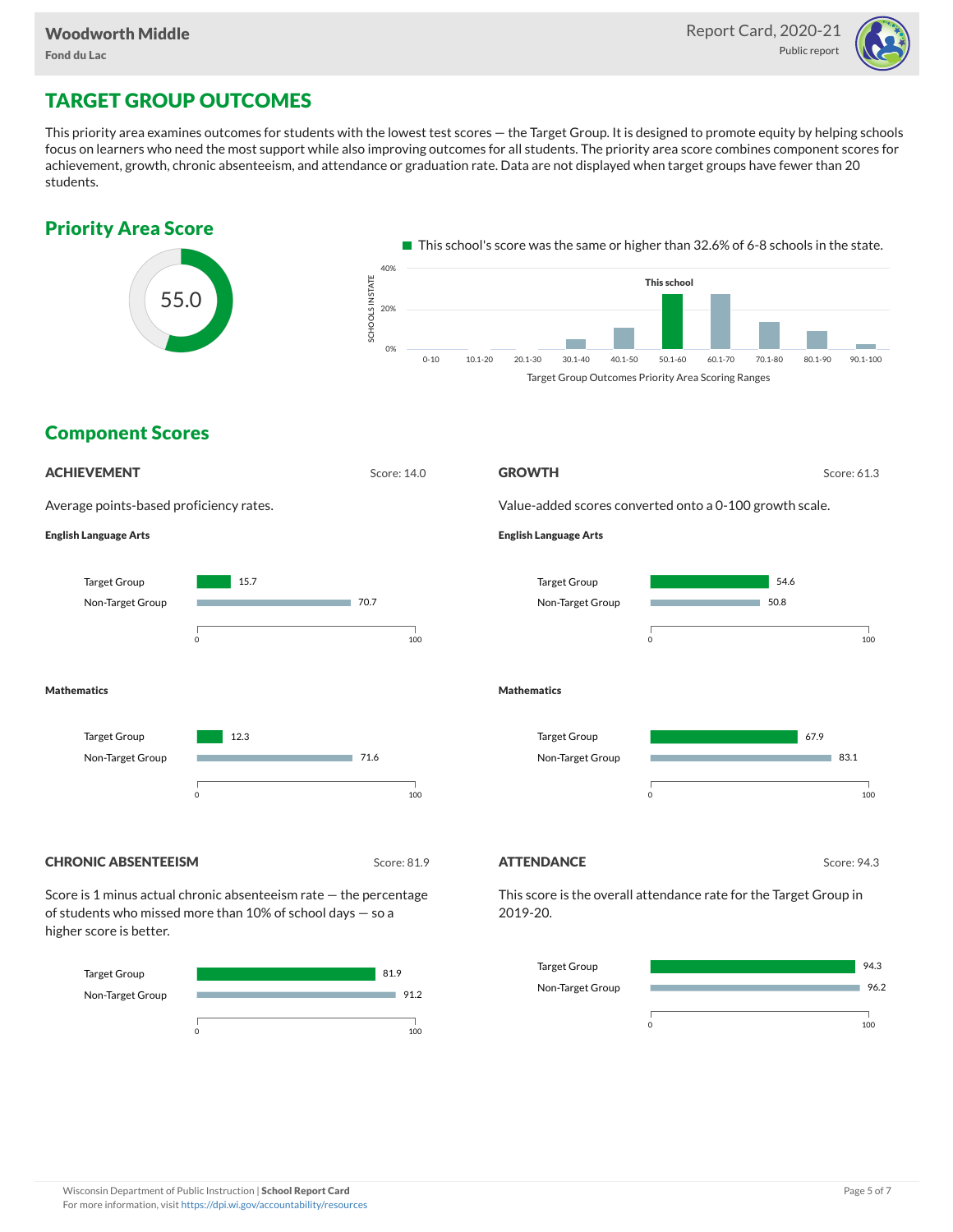

# TARGET GROUP OUTCOMES

This priority area examines outcomes for students with the lowest test scores — the Target Group. It is designed to promote equity by helping schools focus on learners who need the most support while also improving outcomes for all students. The priority area score combines component scores for achievement, growth, chronic absenteeism, and attendance or graduation rate. Data are not displayed when target groups have fewer than 20 students.





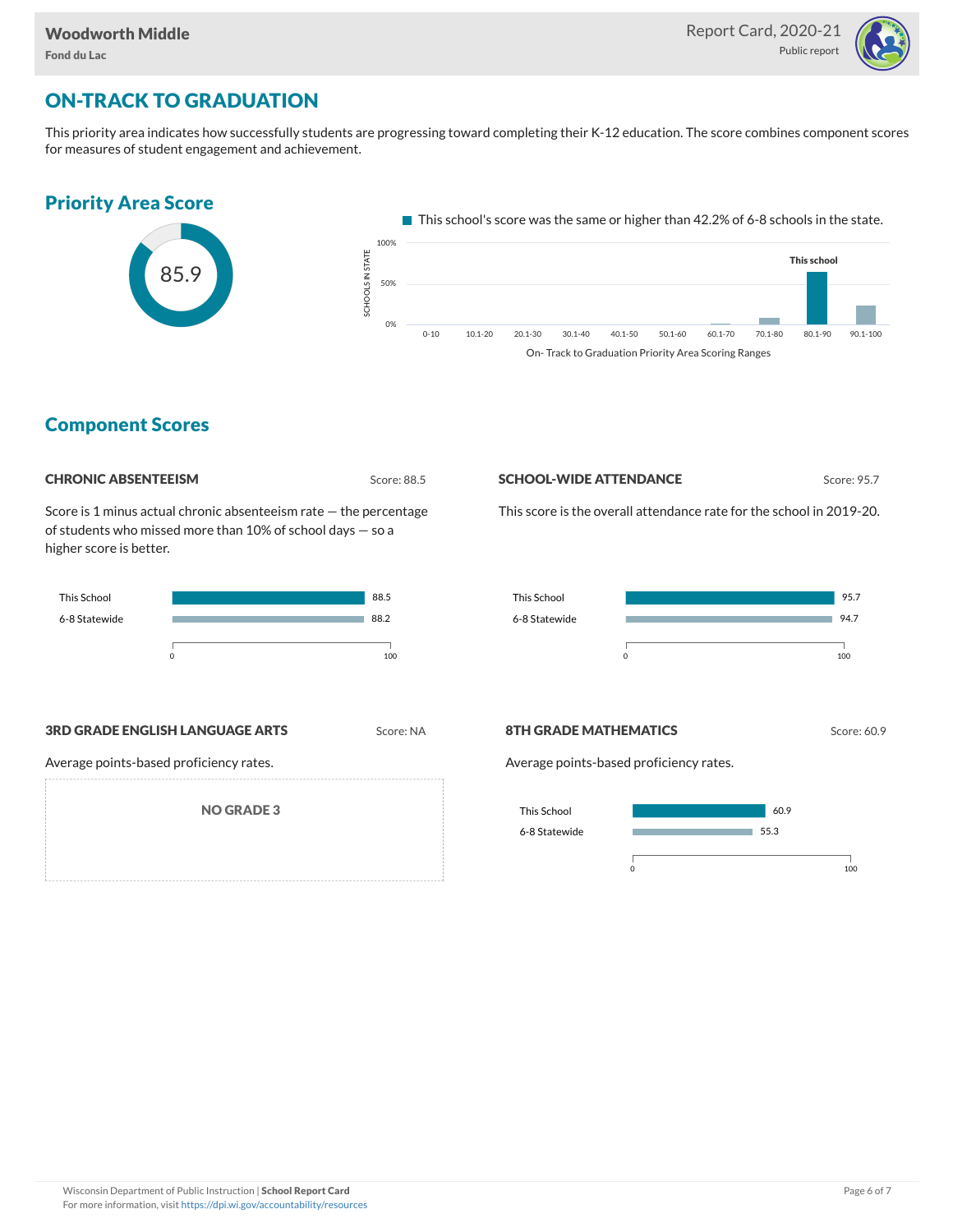

# ON-TRACK TO GRADUATION

This priority area indicates how successfully students are progressing toward completing their K-12 education. The score combines component scores for measures of student engagement and achievement.



### Component Scores